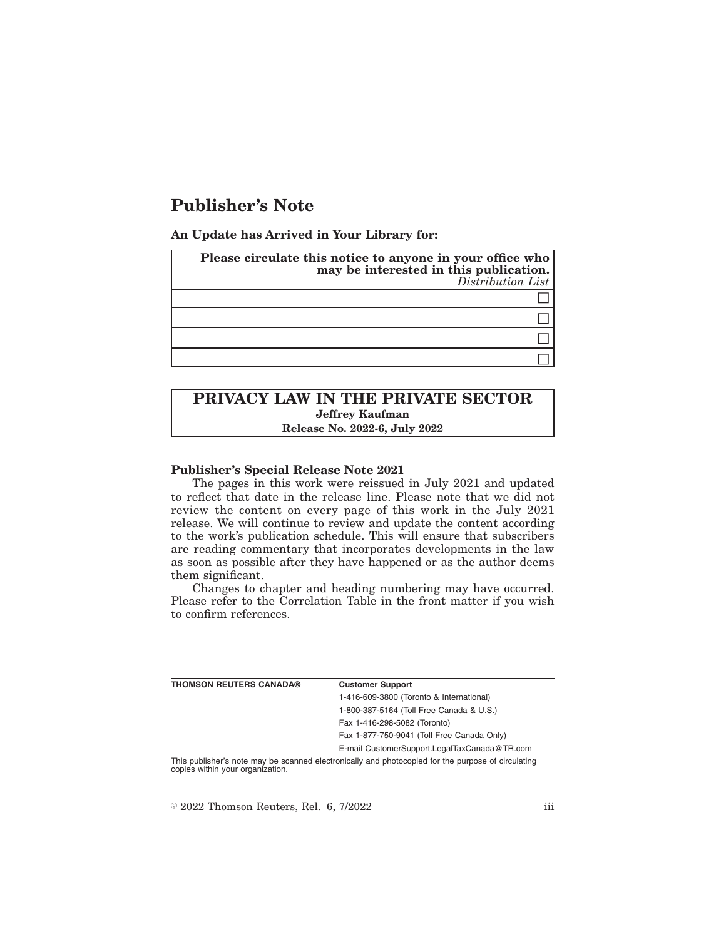# **Publisher's Note**

**An Update has Arrived in Your Library for:**

| Please circulate this notice to anyone in your office who may be interested in this publication.<br>Distribution List |  |
|-----------------------------------------------------------------------------------------------------------------------|--|
|                                                                                                                       |  |
|                                                                                                                       |  |
|                                                                                                                       |  |
|                                                                                                                       |  |

# **PRIVACY LAW IN THE PRIVATE SECTOR Jeffrey Kaufman Release No. 2022-6, July 2022**

### **Publisher's Special Release Note 2021**

The pages in this work were reissued in July 2021 and updated to reflect that date in the release line. Please note that we did not review the content on every page of this work in the July 2021 release. We will continue to review and update the content according to the work's publication schedule. This will ensure that subscribers are reading commentary that incorporates developments in the law as soon as possible after they have happened or as the author deems them significant.

Changes to chapter and heading numbering may have occurred. Please refer to the Correlation Table in the front matter if you wish to confirm references.

| <b>THOMSON REUTERS CANADA®</b>   | <b>Customer Support</b>                                                                            |
|----------------------------------|----------------------------------------------------------------------------------------------------|
|                                  | 1-416-609-3800 (Toronto & International)                                                           |
|                                  | 1-800-387-5164 (Toll Free Canada & U.S.)                                                           |
|                                  | Fax 1-416-298-5082 (Toronto)                                                                       |
|                                  | Fax 1-877-750-9041 (Toll Free Canada Only)                                                         |
|                                  | E-mail CustomerSupport.LegalTaxCanada@TR.com                                                       |
| copies within your organization. | This publisher's note may be scanned electronically and photocopied for the purpose of circulating |

 $\degree$  2022 Thomson Reuters, Rel. 6, 7/2022 iii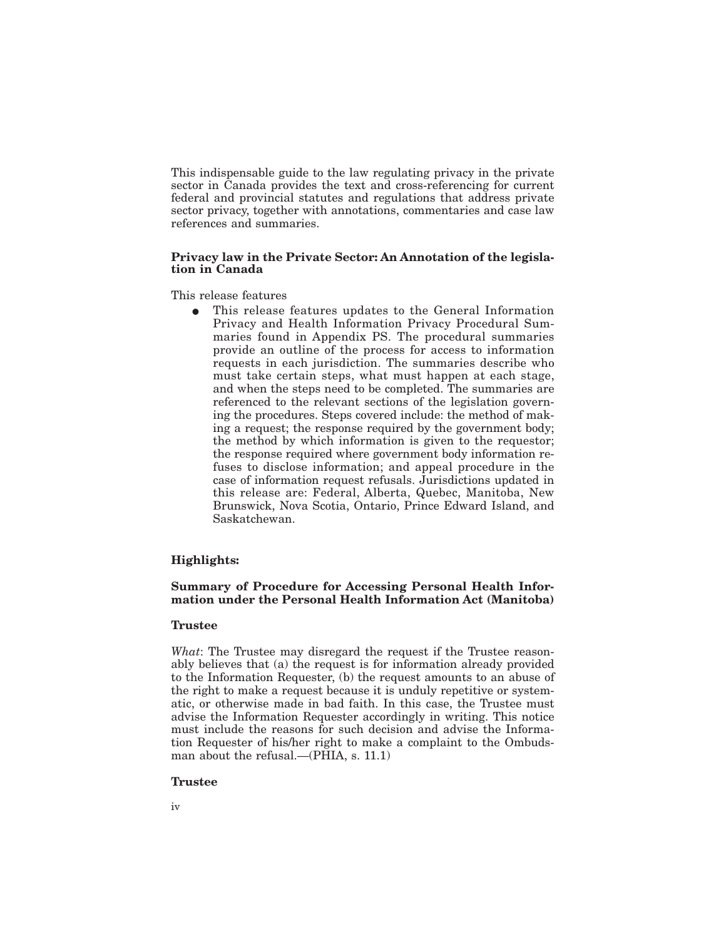This indispensable guide to the law regulating privacy in the private sector in Canada provides the text and cross-referencing for current federal and provincial statutes and regulations that address private sector privacy, together with annotations, commentaries and case law references and summaries.

#### **Privacy law in the Private Sector: An Annotation of the legislation in Canada**

This release features

This release features updates to the General Information Privacy and Health Information Privacy Procedural Summaries found in Appendix PS. The procedural summaries provide an outline of the process for access to information requests in each jurisdiction. The summaries describe who must take certain steps, what must happen at each stage, and when the steps need to be completed. The summaries are referenced to the relevant sections of the legislation governing the procedures. Steps covered include: the method of making a request; the response required by the government body; the method by which information is given to the requestor; the response required where government body information refuses to disclose information; and appeal procedure in the case of information request refusals. Jurisdictions updated in this release are: Federal, Alberta, Quebec, Manitoba, New Brunswick, Nova Scotia, Ontario, Prince Edward Island, and Saskatchewan.

## **Highlights:**

# **Summary of Procedure for Accessing Personal Health Information under the Personal Health Information Act (Manitoba)**

#### **Trustee**

*What*: The Trustee may disregard the request if the Trustee reasonably believes that (a) the request is for information already provided to the Information Requester, (b) the request amounts to an abuse of the right to make a request because it is unduly repetitive or systematic, or otherwise made in bad faith. In this case, the Trustee must advise the Information Requester accordingly in writing. This notice must include the reasons for such decision and advise the Information Requester of his/her right to make a complaint to the Ombudsman about the refusal.—(PHIA, s. 11.1)

#### **Trustee**